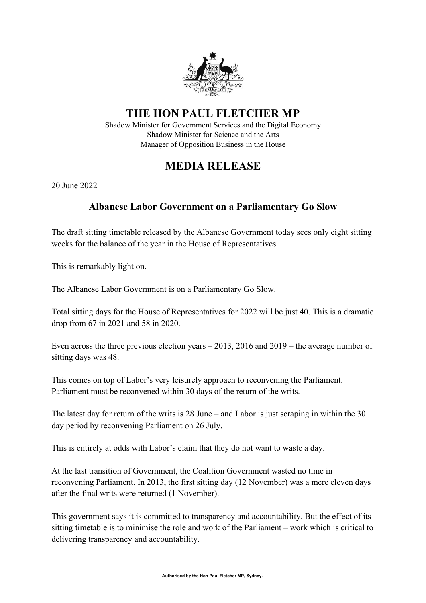

## **THE HON PAUL FLETCHER MP**

Shadow Minister for Government Services and the Digital Economy Shadow Minister for Science and the Arts Manager of Opposition Business in the House

## **MEDIA RELEASE**

20 June 2022

## **Albanese Labor Government on a Parliamentary Go Slow**

The draft sitting timetable released by the Albanese Government today sees only eight sitting weeks for the balance of the year in the House of Representatives.

This is remarkably light on.

The Albanese Labor Government is on a Parliamentary Go Slow.

Total sitting days for the House of Representatives for 2022 will be just 40. This is a dramatic drop from 67 in 2021 and 58 in 2020.

Even across the three previous election years – 2013, 2016 and 2019 – the average number of sitting days was 48.

This comes on top of Labor's very leisurely approach to reconvening the Parliament. Parliament must be reconvened within 30 days of the return of the writs.

The latest day for return of the writs is 28 June – and Labor is just scraping in within the 30 day period by reconvening Parliament on 26 July.

This is entirely at odds with Labor's claim that they do not want to waste a day.

At the last transition of Government, the Coalition Government wasted no time in reconvening Parliament. In 2013, the first sitting day (12 November) was a mere eleven days after the final writs were returned (1 November).

This government says it is committed to transparency and accountability. But the effect of its sitting timetable is to minimise the role and work of the Parliament – work which is critical to delivering transparency and accountability.